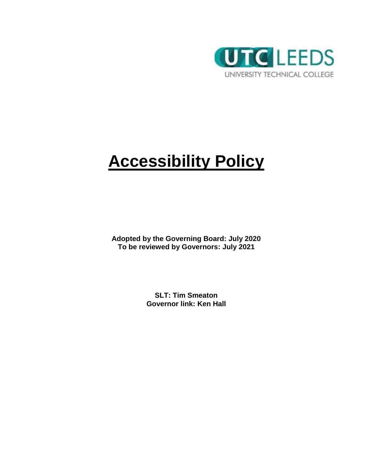

# **Accessibility Policy**

**Adopted by the Governing Board: July 2020 To be reviewed by Governors: July 2021**

> **SLT: Tim Smeaton Governor link: Ken Hall**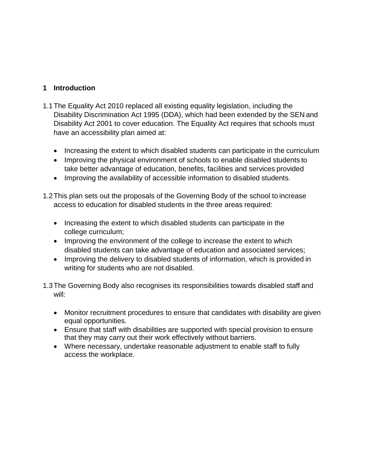### **1 Introduction**

- 1.1The Equality Act 2010 replaced all existing equality legislation, including the Disability Discrimination Act 1995 (DDA), which had been extended by the SEN and Disability Act 2001 to cover education. The Equality Act requires that schools must have an accessibility plan aimed at:
	- Increasing the extent to which disabled students can participate in the curriculum
	- Improving the physical environment of schools to enable disabled students to take better advantage of education, benefits, facilities and services provided
	- Improving the availability of accessible information to disabled students.
- 1.2This plan sets out the proposals of the Governing Body of the school to increase access to education for disabled students in the three areas required:
	- Increasing the extent to which disabled students can participate in the college curriculum;
	- Improving the environment of the college to increase the extent to which disabled students can take advantage of education and associated services;
	- Improving the delivery to disabled students of information, which is provided in writing for students who are not disabled.
- 1.3The Governing Body also recognises its responsibilities towards disabled staff and will:
	- Monitor recruitment procedures to ensure that candidates with disability are given equal opportunities.
	- Ensure that staff with disabilities are supported with special provision to ensure that they may carry out their work effectively without barriers.
	- Where necessary, undertake reasonable adjustment to enable staff to fully access the workplace.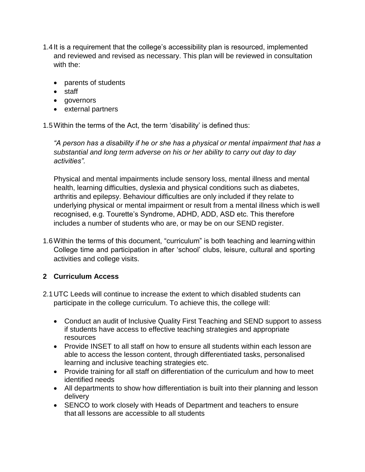- 1.4 It is a requirement that the college's accessibility plan is resourced, implemented and reviewed and revised as necessary. This plan will be reviewed in consultation with the:
	- parents of students
	- staff
	- governors
	- external partners

1.5Within the terms of the Act, the term 'disability' is defined thus:

*"A person has a disability if he or she has a physical or mental impairment that has a substantial and long term adverse on his or her ability to carry out day to day activities".*

Physical and mental impairments include sensory loss, mental illness and mental health, learning difficulties, dyslexia and physical conditions such as diabetes, arthritis and epilepsy. Behaviour difficulties are only included if they relate to underlying physical or mental impairment or result from a mental illness which is well recognised, e.g. Tourette's Syndrome, ADHD, ADD, ASD etc. This therefore includes a number of students who are, or may be on our SEND register.

1.6Within the terms of this document, "curriculum" is both teaching and learning within College time and participation in after 'school' clubs, leisure, cultural and sporting activities and college visits.

## **2 Curriculum Access**

- 2.1UTC Leeds will continue to increase the extent to which disabled students can participate in the college curriculum. To achieve this, the college will:
	- Conduct an audit of Inclusive Quality First Teaching and SEND support to assess if students have access to effective teaching strategies and appropriate resources
	- Provide INSET to all staff on how to ensure all students within each lesson are able to access the lesson content, through differentiated tasks, personalised learning and inclusive teaching strategies etc.
	- Provide training for all staff on differentiation of the curriculum and how to meet identified needs
	- All departments to show how differentiation is built into their planning and lesson delivery
	- SENCO to work closely with Heads of Department and teachers to ensure that all lessons are accessible to all students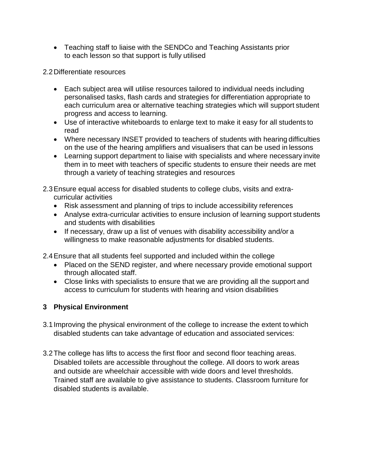Teaching staff to liaise with the SENDCo and Teaching Assistants prior to each lesson so that support is fully utilised

2.2Differentiate resources

- Each subject area will utilise resources tailored to individual needs including personalised tasks, flash cards and strategies for differentiation appropriate to each curriculum area or alternative teaching strategies which will support student progress and access to learning.
- Use of interactive whiteboards to enlarge text to make it easy for all students to read
- Where necessary INSET provided to teachers of students with hearing difficulties on the use of the hearing amplifiers and visualisers that can be used in lessons
- Learning support department to liaise with specialists and where necessary invite them in to meet with teachers of specific students to ensure their needs are met through a variety of teaching strategies and resources
- 2.3Ensure equal access for disabled students to college clubs, visits and extracurricular activities
	- Risk assessment and planning of trips to include accessibility references
	- Analyse extra-curricular activities to ensure inclusion of learning support students and students with disabilities
	- If necessary, draw up a list of venues with disability accessibility and/or a willingness to make reasonable adjustments for disabled students.

2.4Ensure that all students feel supported and included within the college

- Placed on the SEND register, and where necessary provide emotional support through allocated staff.
- Close links with specialists to ensure that we are providing all the support and access to curriculum for students with hearing and vision disabilities

# **3 Physical Environment**

- 3.1 Improving the physical environment of the college to increase the extent to which disabled students can take advantage of education and associated services:
- 3.2The college has lifts to access the first floor and second floor teaching areas. Disabled toilets are accessible throughout the college. All doors to work areas and outside are wheelchair accessible with wide doors and level thresholds. Trained staff are available to give assistance to students. Classroom furniture for disabled students is available.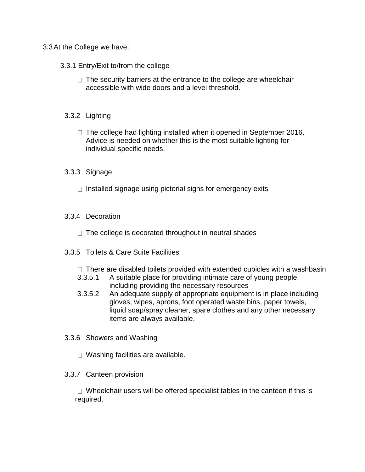#### 3.3At the College we have:

#### 3.3.1 Entry/Exit to/from the college

 $\Box$  The security barriers at the entrance to the college are wheelchair accessible with wide doors and a level threshold.

#### 3.3.2 Lighting

 $\Box$  The college had lighting installed when it opened in September 2016. Advice is needed on whether this is the most suitable lighting for individual specific needs.

#### 3.3.3 Signage

 $\Box$  Installed signage using pictorial signs for emergency exits

#### 3.3.4 Decoration

 $\Box$  The college is decorated throughout in neutral shades

#### 3.3.5 Toilets & Care Suite Facilities

- $\Box$  There are disabled toilets provided with extended cubicles with a washbasin
- 3.3.5.1 A suitable place for providing intimate care of young people, including providing the necessary resources
- 3.3.5.2 An adequate supply of appropriate equipment is in place including gloves, wipes, aprons, foot operated waste bins, paper towels, liquid soap/spray cleaner, spare clothes and any other necessary items are always available.
- 3.3.6 Showers and Washing
	- $\Box$  Washing facilities are available.

#### 3.3.7 Canteen provision

 $\Box$  Wheelchair users will be offered specialist tables in the canteen if this is required.